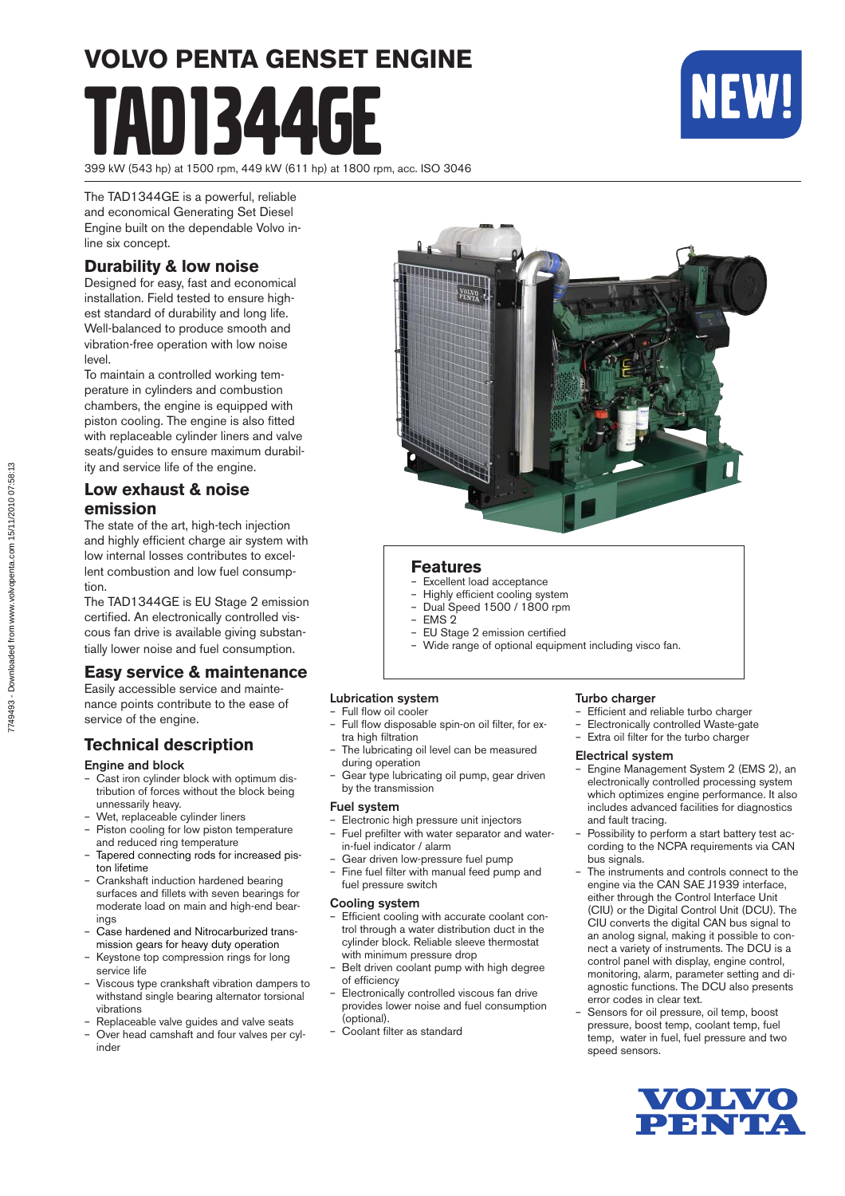# **VOLVO PENTA GENSET ENGINE** 1344



399 kW (543 hp) at 1500 rpm, 449 kW (611 hp) at 1800 rpm, acc. ISO 3046

The TAD1344GE is a powerful, reliable and economical Generating Set Diesel Engine built on the dependable Volvo inline six concept.

#### **Durability & low noise**

Designed for easy, fast and economical installation. Field tested to ensure highest standard of durability and long life. Well-balanced to produce smooth and vibration-free operation with low noise level.

To maintain a controlled working temperature in cylinders and combustion cham bers, the engine is equipped with piston cooling. The engine is also fitted with replaceable cylinder liners and valve seats/guides to ensure maximum durability and service life of the engine.

#### **Low exhaust & noise emission**

The state of the art, high-tech injection and highly efficient charge air system with low internal losses contributes to excellent combustion and low fuel consumption.

The TAD1344GE is EU Stage 2 emission certified. An electronically controlled viscous fan drive is available giving substantially lower noise and fuel consumption.

#### **Easy service & maintenance**

Easily accessible service and maintenance points contribute to the ease of service of the engine.

#### **Technical description**

#### Engine and block

- Cast iron cylinder block with optimum distribution of forces without the block being unnessarily heavy.
- Wet, replaceable cylinder liners
- Piston cooling for low piston temperature and reduced ring temperature
- Tapered connecting rods for increased piston lifetime
- Crankshaft induction hardened bearing surfaces and fillets with seven bearings for moderate load on main and high-end bearings
- Case hardened and Nitrocarburized transmis sion gears for heavy duty operation
- Keystone top compression rings for long service life
- Viscous type crankshaft vibration dampers to withstand single bearing alternator torsional vibrations
- Replaceable valve guides and valve seats
- Over head camshaft and four valves per cylinder



#### **Features**

- Excellent load acceptance
- Highly efficient cooling system
- Dual Speed 1500 / 1800 rpm – EMS 2
- EU Stage 2 emission certified
- Wide range of optional equipment including visco fan.

#### Lubrication system

#### Full flow oil cooler

- Full flow disposable spin-on oil filter, for extra high filtration
- The lubricating oil level can be measured during operation
- Gear type lubricating oil pump, gear driven by the transmission

#### Fuel system

- Electronic high pressure unit injectors Fuel prefilter with water separator and water-
- in-fuel indicator / alarm – Gear driven low-pressure fuel pump
- Fine fuel filter with manual feed pump and fuel pressure switch

#### Cooling system

- Efficient cooling with accurate coolant control through a water distribution duct in the cylinder block. Reliable sleeve thermostat with minimum pressure drop
- Belt driven coolant pump with high degree of efficiency
- Electronically controlled viscous fan drive provides lower noise and fuel consumption (optional).
- Coolant filter as standard

#### Turbo charger

- Efficient and reliable turbo charger
- Electronically controlled Waste-gate
- Extra oil filter for the turbo charger

#### Electrical system

- Engine Management System 2 (EMS 2), an electronically controlled processing system which optimizes engine performance. It also includes advanced facilities for diagnostics and fault tracing.
- Possibility to perform a start battery test according to the NCPA requirements via CAN bus signals.
- The instruments and controls connect to the engine via the CAN SAE J1939 interface, either through the Control Interface Unit (CIU) or the Digital Control Unit (DCU). The CIU converts the digital CAN bus signal to an anolog signal, making it possible to connect a variety of instruments. The DCU is a control panel with display, engine control, monitoring, alarm, parameter setting and diagnostic functions. The DCU also presents error codes in clear text.
- Sensors for oil pressure, oil temp, boost pressure, boost temp, coolant temp, fuel temp, water in fuel, fuel pressure and two speed sensors.